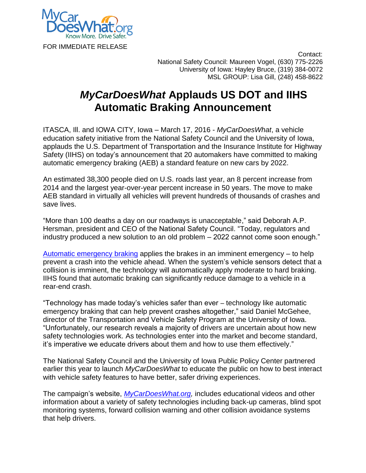

 Contact: National Safety Council: Maureen Vogel, (630) 775-2226 University of Iowa: Hayley Bruce, (319) 384-0072 MSL GROUP: Lisa Gill, (248) 458-8622

## *MyCarDoesWhat* **Applauds US DOT and IIHS Automatic Braking Announcement**

ITASCA, Ill. and IOWA CITY, Iowa – March 17, 2016 - *MyCarDoesWhat*, a vehicle education safety initiative from the National Safety Council and the University of Iowa, applauds the U.S. Department of Transportation and the Insurance Institute for Highway Safety (IIHS) on today's announcement that 20 automakers have committed to making automatic emergency braking (AEB) a standard feature on new cars by 2022.

An estimated 38,300 people died on U.S. roads last year, an 8 percent increase from 2014 and the largest year-over-year percent increase in 50 years. The move to make AEB standard in virtually all vehicles will prevent hundreds of thousands of crashes and save lives.

"More than 100 deaths a day on our roadways is unacceptable," said Deborah A.P. Hersman, president and CEO of the National Safety Council. "Today, regulators and industry produced a new solution to an old problem – 2022 cannot come soon enough."

[Automatic emergency braking](https://mycardoeswhat.org/safety-features/automatic-braking/) applies the brakes in an imminent emergency – to help prevent a crash into the vehicle ahead. When the system's vehicle sensors detect that a collision is imminent, the technology will automatically apply moderate to hard braking. IIHS found that automatic braking can significantly reduce damage to a vehicle in a rear-end crash.

"Technology has made today's vehicles safer than ever – technology like automatic emergency braking that can help prevent crashes altogether," said Daniel McGehee, director of the Transportation and Vehicle Safety Program at the University of Iowa. "Unfortunately, our research reveals a majority of drivers are uncertain about how new safety technologies work. As technologies enter into the market and become standard, it's imperative we educate drivers about them and how to use them effectively."

The National Safety Council and the University of Iowa Public Policy Center partnered earlier this year to launch *MyCarDoesWhat* to educate the public on how to best interact with vehicle safety features to have better, safer driving experiences.

The campaign's website, *[MyCarDoesWhat.org,](http://mycardoeswhat.org/)* includes educational videos and other information about a variety of safety technologies including back-up cameras, blind spot monitoring systems, forward collision warning and other collision avoidance systems that help drivers.